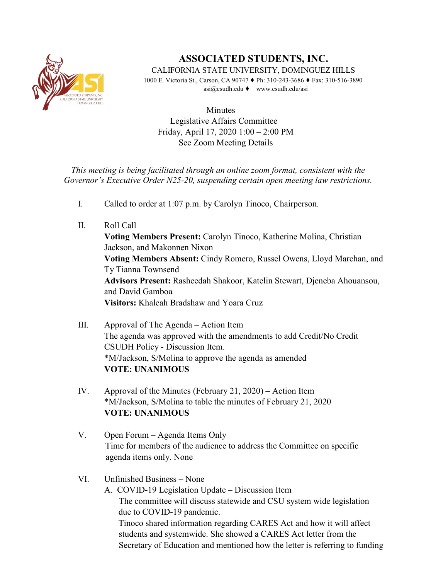

# **ASSOCIATED STUDENTS, INC.**

CALIFORNIA STATE UNIVERSITY, DOMINGUEZ HILLS

1000 E. Victoria St., Carson, CA 90747 ♦ Ph: 310-243-3686 ♦ Fax: 310-516-3890 asi@csudh.edu ♦ www.csudh.edu/asi

**Minutes** Legislative Affairs Committee Friday, April 17, 2020 1:00 – 2:00 PM See Zoom Meeting Details

*This meeting is being facilitated through an online zoom format, consistent with the Governor's Executive Order N25-20, suspending certain open meeting law restrictions.*

- I. Called to order at 1:07 p.m. by Carolyn Tinoco, Chairperson.
- II. Roll Call **Voting Members Present:** Carolyn Tinoco, Katherine Molina, Christian Jackson, and Makonnen Nixon **Voting Members Absent:** Cindy Romero, Russel Owens, Lloyd Marchan, and Ty Tianna Townsend **Advisors Present:** Rasheedah Shakoor, Katelin Stewart, Djeneba Ahouansou, and David Gamboa **Visitors:** Khaleah Bradshaw and Yoara Cruz
- III. Approval of The Agenda Action Item The agenda was approved with the amendments to add Credit/No Credit CSUDH Policy - Discussion Item. \*M/Jackson, S/Molina to approve the agenda as amended **VOTE: UNANIMOUS**
- IV. Approval of the Minutes (February 21, 2020) Action Item \*M/Jackson, S/Molina to table the minutes of February 21, 2020 **VOTE: UNANIMOUS**
- V. Open Forum Agenda Items Only Time for members of the audience to address the Committee on specific agenda items only. None

## VI. Unfinished Business – None

A. COVID-19 Legislation Update – Discussion Item The committee will discuss statewide and CSU system wide legislation due to COVID-19 pandemic. Tinoco shared information regarding CARES Act and how it will affect students and systemwide. She showed a CARES Act letter from the Secretary of Education and mentioned how the letter is referring to funding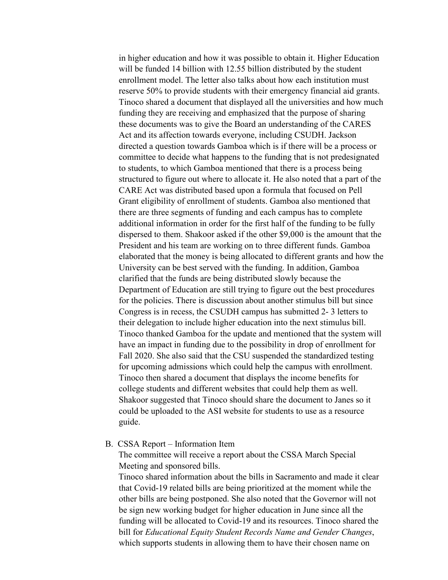in higher education and how it was possible to obtain it. Higher Education will be funded 14 billion with 12.55 billion distributed by the student enrollment model. The letter also talks about how each institution must reserve 50% to provide students with their emergency financial aid grants. Tinoco shared a document that displayed all the universities and how much funding they are receiving and emphasized that the purpose of sharing these documents was to give the Board an understanding of the CARES Act and its affection towards everyone, including CSUDH. Jackson directed a question towards Gamboa which is if there will be a process or committee to decide what happens to the funding that is not predesignated to students, to which Gamboa mentioned that there is a process being structured to figure out where to allocate it. He also noted that a part of the CARE Act was distributed based upon a formula that focused on Pell Grant eligibility of enrollment of students. Gamboa also mentioned that there are three segments of funding and each campus has to complete additional information in order for the first half of the funding to be fully dispersed to them. Shakoor asked if the other \$9,000 is the amount that the President and his team are working on to three different funds. Gamboa elaborated that the money is being allocated to different grants and how the University can be best served with the funding. In addition, Gamboa clarified that the funds are being distributed slowly because the Department of Education are still trying to figure out the best procedures for the policies. There is discussion about another stimulus bill but since Congress is in recess, the CSUDH campus has submitted 2- 3 letters to their delegation to include higher education into the next stimulus bill. Tinoco thanked Gamboa for the update and mentioned that the system will have an impact in funding due to the possibility in drop of enrollment for Fall 2020. She also said that the CSU suspended the standardized testing for upcoming admissions which could help the campus with enrollment. Tinoco then shared a document that displays the income benefits for college students and different websites that could help them as well. Shakoor suggested that Tinoco should share the document to Janes so it could be uploaded to the ASI website for students to use as a resource guide.

## B. CSSA Report – Information Item

The committee will receive a report about the CSSA March Special Meeting and sponsored bills.

Tinoco shared information about the bills in Sacramento and made it clear that Covid-19 related bills are being prioritized at the moment while the other bills are being postponed. She also noted that the Governor will not be sign new working budget for higher education in June since all the funding will be allocated to Covid-19 and its resources. Tinoco shared the bill for *Educational Equity Student Records Name and Gender Changes*, which supports students in allowing them to have their chosen name on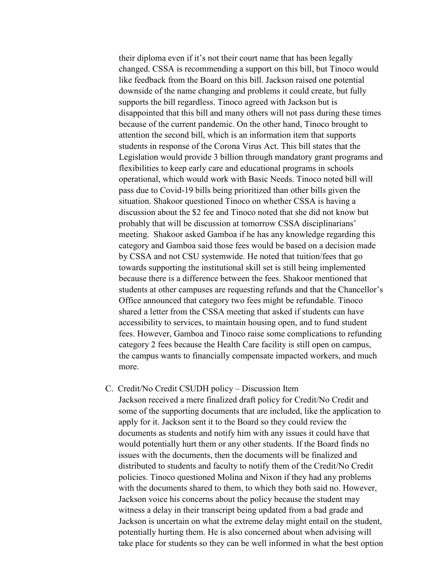their diploma even if it's not their court name that has been legally changed. CSSA is recommending a support on this bill, but Tinoco would like feedback from the Board on this bill. Jackson raised one potential downside of the name changing and problems it could create, but fully supports the bill regardless. Tinoco agreed with Jackson but is disappointed that this bill and many others will not pass during these times because of the current pandemic. On the other hand, Tinoco brought to attention the second bill, which is an information item that supports students in response of the Corona Virus Act. This bill states that the Legislation would provide 3 billion through mandatory grant programs and flexibilities to keep early care and educational programs in schools operational, which would work with Basic Needs. Tinoco noted bill will pass due to Covid-19 bills being prioritized than other bills given the situation. Shakoor questioned Tinoco on whether CSSA is having a discussion about the \$2 fee and Tinoco noted that she did not know but probably that will be discussion at tomorrow CSSA disciplinarians' meeting. Shakoor asked Gamboa if he has any knowledge regarding this category and Gamboa said those fees would be based on a decision made by CSSA and not CSU systemwide. He noted that tuition/fees that go towards supporting the institutional skill set is still being implemented because there is a difference between the fees. Shakoor mentioned that students at other campuses are requesting refunds and that the Chancellor's Office announced that category two fees might be refundable. Tinoco shared a letter from the CSSA meeting that asked if students can have accessibility to services, to maintain housing open, and to fund student fees. However, Gamboa and Tinoco raise some complications to refunding category 2 fees because the Health Care facility is still open on campus, the campus wants to financially compensate impacted workers, and much more.

#### C. Credit/No Credit CSUDH policy – Discussion Item

Jackson received a mere finalized draft policy for Credit/No Credit and some of the supporting documents that are included, like the application to apply for it. Jackson sent it to the Board so they could review the documents as students and notify him with any issues it could have that would potentially hurt them or any other students. If the Board finds no issues with the documents, then the documents will be finalized and distributed to students and faculty to notify them of the Credit/No Credit policies. Tinoco questioned Molina and Nixon if they had any problems with the documents shared to them, to which they both said no. However, Jackson voice his concerns about the policy because the student may witness a delay in their transcript being updated from a bad grade and Jackson is uncertain on what the extreme delay might entail on the student, potentially hurting them. He is also concerned about when advising will take place for students so they can be well informed in what the best option